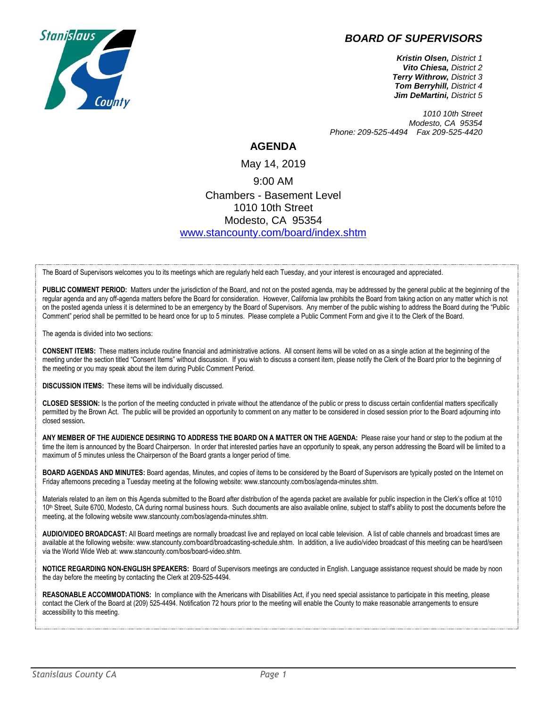



*Kristin Olsen, District 1 Vito Chiesa, District 2 Terry Withrow, District 3 Tom Berryhill, District 4 Jim DeMartini, District 5*

*1010 10th Street Modesto, CA 95354 Phone: 209-525-4494 Fax 209-525-4420*

## **AGENDA**

May 14, 2019 9:00 AM Chambers - Basement Level 1010 10th Street Modesto, CA 95354 [www.stancounty.com/board/index.shtm](http://www.stancounty.com/board/index.shtm)

The Board of Supervisors welcomes you to its meetings which are regularly held each Tuesday, and your interest is encouraged and appreciated.

PUBLIC COMMENT PERIOD: Matters under the jurisdiction of the Board, and not on the posted agenda, may be addressed by the general public at the beginning of the regular agenda and any off-agenda matters before the Board for consideration. However, California law prohibits the Board from taking action on any matter which is not on the posted agenda unless it is determined to be an emergency by the Board of Supervisors. Any member of the public wishing to address the Board during the "Public Comment" period shall be permitted to be heard once for up to 5 minutes. Please complete a Public Comment Form and give it to the Clerk of the Board.

The agenda is divided into two sections:

**CONSENT ITEMS:** These matters include routine financial and administrative actions. All consent items will be voted on as a single action at the beginning of the meeting under the section titled "Consent Items" without discussion. If you wish to discuss a consent item, please notify the Clerk of the Board prior to the beginning of the meeting or you may speak about the item during Public Comment Period.

**DISCUSSION ITEMS:** These items will be individually discussed.

**CLOSED SESSION:** Is the portion of the meeting conducted in private without the attendance of the public or press to discuss certain confidential matters specifically permitted by the Brown Act. The public will be provided an opportunity to comment on any matter to be considered in closed session prior to the Board adjourning into closed session**.**

**ANY MEMBER OF THE AUDIENCE DESIRING TO ADDRESS THE BOARD ON A MATTER ON THE AGENDA:** Please raise your hand or step to the podium at the time the item is announced by the Board Chairperson. In order that interested parties have an opportunity to speak, any person addressing the Board will be limited to a maximum of 5 minutes unless the Chairperson of the Board grants a longer period of time.

**BOARD AGENDAS AND MINUTES:** Board agendas, Minutes, and copies of items to be considered by the Board of Supervisors are typically posted on the Internet on Friday afternoons preceding a Tuesday meeting at the following website: www.stancounty.com/bos/agenda-minutes.shtm.

Materials related to an item on this Agenda submitted to the Board after distribution of the agenda packet are available for public inspection in the Clerk's office at 1010 10<sup>th</sup> Street, Suite 6700, Modesto, CA during normal business hours. Such documents are also available online, subject to staff's ability to post the documents before the meeting, at the following website www.stancounty.com/bos/agenda-minutes.shtm.

**AUDIO/VIDEO BROADCAST:** All Board meetings are normally broadcast live and replayed on local cable television. A list of cable channels and broadcast times are available at the following website: www.stancounty.com/board/broadcasting-schedule.shtm. In addition, a live audio/video broadcast of this meeting can be heard/seen via the World Wide Web at: www.stancounty.com/bos/board-video.shtm.

**NOTICE REGARDING NON-ENGLISH SPEAKERS:** Board of Supervisors meetings are conducted in English. Language assistance request should be made by noon the day before the meeting by contacting the Clerk at 209-525-4494.

REASONABLE ACCOMMODATIONS: In compliance with the Americans with Disabilities Act, if you need special assistance to participate in this meeting, please contact the Clerk of the Board at (209) 525-4494. Notification 72 hours prior to the meeting will enable the County to make reasonable arrangements to ensure accessibility to this meeting.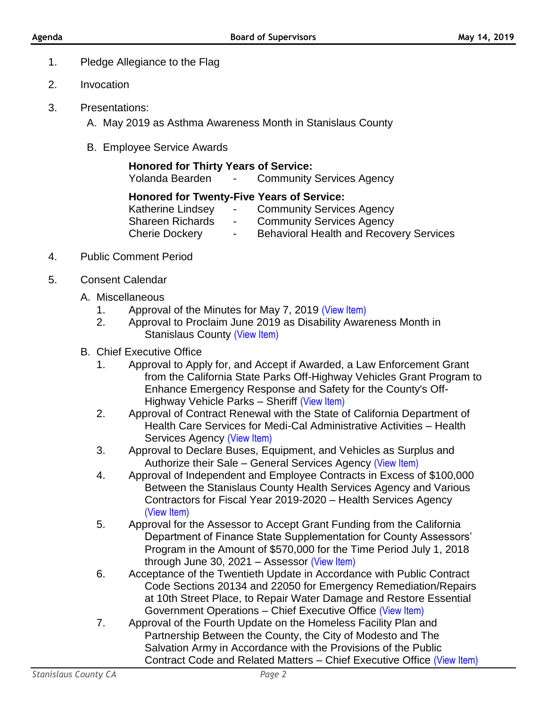- 1. Pledge Allegiance to the Flag
- 2. Invocation
- 3. Presentations:
	- A. May 2019 as Asthma Awareness Month in Stanislaus County
	- B. Employee Service Awards

| <b>Honored for Thirty Years of Service:</b>      |                                             |
|--------------------------------------------------|---------------------------------------------|
|                                                  | Yolanda Bearden - Community Services Agency |
| <b>Honored for Twenty-Five Years of Service:</b> |                                             |

Katherine Lindsey - Community Services Agency Shareen Richards - Community Services Agency

- Cherie Dockery Behavioral Health and Recovery Services
- 4. Public Comment Period
- 5. Consent Calendar
	- A. Miscellaneous
		- 1. Approval of the Minutes for May 7, 2019 [\(View Item\)](http://www.stancounty.com/bos/minutes/2019/min05-07-19.pdf)
		- 2. Approval to Proclaim June 2019 as Disability Awareness Month in Stanislaus County [\(View Item\)](http://stancounty.com/bos/agenda/2019/20190514/A02.pdf)
	- B. Chief Executive Office
		- 1. Approval to Apply for, and Accept if Awarded, a Law Enforcement Grant from the California State Parks Off-Highway Vehicles Grant Program to Enhance Emergency Response and Safety for the County's Off-Highway Vehicle Parks – Sheriff [\(View Item\)](http://stancounty.com/bos/agenda/2019/20190514/B01.pdf)
		- 2. Approval of Contract Renewal with the State of California Department of Health Care Services for Medi-Cal Administrative Activities – Health Services Agency [\(View Item\)](http://stancounty.com/bos/agenda/2019/20190514/B02.pdf)
		- 3. Approval to Declare Buses, Equipment, and Vehicles as Surplus and Authorize their Sale – General Services Agency [\(View Item\)](http://stancounty.com/bos/agenda/2019/20190514/B03.pdf)
		- 4. Approval of Independent and Employee Contracts in Excess of \$100,000 Between the Stanislaus County Health Services Agency and Various Contractors for Fiscal Year 2019-2020 – Health Services Agency [\(View Item\)](http://stancounty.com/bos/agenda/2019/20190514/B04.pdf)
		- 5. Approval for the Assessor to Accept Grant Funding from the California Department of Finance State Supplementation for County Assessors' Program in the Amount of \$570,000 for the Time Period July 1, 2018 through June 30, 2021 – Assessor [\(View Item\)](http://stancounty.com/bos/agenda/2019/20190514/B05.pdf)
		- 6. Acceptance of the Twentieth Update in Accordance with Public Contract Code Sections 20134 and 22050 for Emergency Remediation/Repairs at 10th Street Place, to Repair Water Damage and Restore Essential Government Operations – Chief Executive Office [\(View Item\)](http://stancounty.com/bos/agenda/2019/20190514/B06.pdf)
		- 7. Approval of the Fourth Update on the Homeless Facility Plan and Partnership Between the County, the City of Modesto and The Salvation Army in Accordance with the Provisions of the Public Contract Code and Related Matters – Chief Executive Office [\(View Item\)](http://stancounty.com/bos/agenda/2019/20190514/B07.pdf)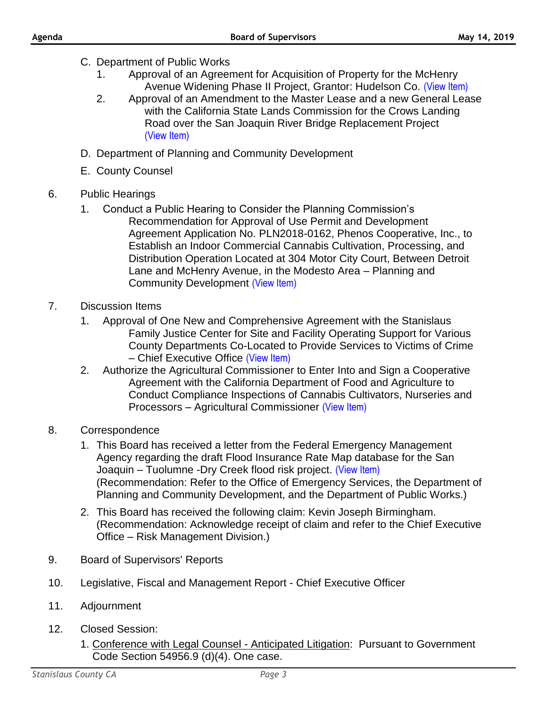- C. Department of Public Works
	- 1. Approval of an Agreement for Acquisition of Property for the McHenry Avenue Widening Phase II Project, Grantor: Hudelson Co. [\(View Item\)](http://stancounty.com/bos/agenda/2019/20190514/C01.pdf)
	- 2. Approval of an Amendment to the Master Lease and a new General Lease with the California State Lands Commission for the Crows Landing Road over the San Joaquin River Bridge Replacement Project [\(View Item\)](http://stancounty.com/bos/agenda/2019/20190514/C02.pdf)
- D. Department of Planning and Community Development
- E. County Counsel
- 6. Public Hearings
	- 1. Conduct a Public Hearing to Consider the Planning Commission's Recommendation for Approval of Use Permit and Development Agreement Application No. PLN2018-0162, Phenos Cooperative, Inc., to Establish an Indoor Commercial Cannabis Cultivation, Processing, and Distribution Operation Located at 304 Motor City Court, Between Detroit Lane and McHenry Avenue, in the Modesto Area – Planning and Community Development [\(View Item\)](http://stancounty.com/bos/agenda/2019/20190514/PH01.pdf)
- 7. Discussion Items
	- 1. Approval of One New and Comprehensive Agreement with the Stanislaus Family Justice Center for Site and Facility Operating Support for Various County Departments Co-Located to Provide Services to Victims of Crime – Chief Executive Office [\(View Item\)](http://stancounty.com/bos/agenda/2019/20190514/DIS01.pdf)
	- 2. Authorize the Agricultural Commissioner to Enter Into and Sign a Cooperative Agreement with the California Department of Food and Agriculture to Conduct Compliance Inspections of Cannabis Cultivators, Nurseries and Processors – Agricultural Commissioner [\(View Item\)](http://stancounty.com/bos/agenda/2019/20190514/DIS02.pdf)
- 8. Correspondence
	- 1. This Board has received a letter from the Federal Emergency Management Agency regarding the draft Flood Insurance Rate Map database for the San Joaquin – Tuolumne -Dry Creek flood risk project. [\(View Item\)](http://stancounty.com/bos/agenda/2019/20190514/Corr01.pdf) (Recommendation: Refer to the Office of Emergency Services, the Department of Planning and Community Development, and the Department of Public Works.)
	- 2. This Board has received the following claim: Kevin Joseph Birmingham. (Recommendation: Acknowledge receipt of claim and refer to the Chief Executive Office – Risk Management Division.)
- 9. Board of Supervisors' Reports
- 10. Legislative, Fiscal and Management Report Chief Executive Officer
- 11. Adjournment
- 12. Closed Session:
	- 1. Conference with Legal Counsel Anticipated Litigation: Pursuant to Government Code Section 54956.9 (d)(4). One case.